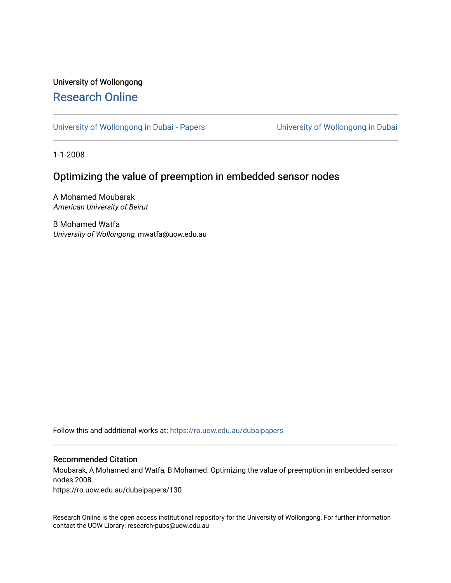## University of Wollongong [Research Online](https://ro.uow.edu.au/)

[University of Wollongong in Dubai - Papers](https://ro.uow.edu.au/dubaipapers) **University of Wollongong in Dubai** 

1-1-2008

### Optimizing the value of preemption in embedded sensor nodes

A Mohamed Moubarak American University of Beirut

B Mohamed Watfa University of Wollongong, mwatfa@uow.edu.au

Follow this and additional works at: [https://ro.uow.edu.au/dubaipapers](https://ro.uow.edu.au/dubaipapers?utm_source=ro.uow.edu.au%2Fdubaipapers%2F130&utm_medium=PDF&utm_campaign=PDFCoverPages) 

#### Recommended Citation

Moubarak, A Mohamed and Watfa, B Mohamed: Optimizing the value of preemption in embedded sensor nodes 2008.

https://ro.uow.edu.au/dubaipapers/130

Research Online is the open access institutional repository for the University of Wollongong. For further information contact the UOW Library: research-pubs@uow.edu.au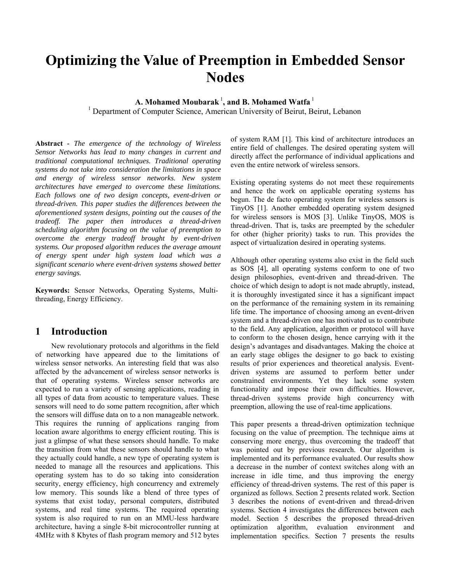# **Optimizing the Value of Preemption in Embedded Sensor Nodes**

**A. Mohamed Moubarak** <sup>1</sup> **, and B. Mohamed Watfa** <sup>1</sup>

<sup>1</sup> Department of Computer Science, American University of Beirut, Beirut, Lebanon

**Abstract** *- The emergence of the technology of Wireless Sensor Networks has lead to many changes in current and traditional computational techniques. Traditional operating systems do not take into consideration the limitations in space and energy of wireless sensor networks. New system architectures have emerged to overcome these limitations. Each follows one of two design concepts, event-driven or thread-driven. This paper studies the differences between the aforementioned system designs, pointing out the causes of the tradeoff. The paper then introduces a thread-driven scheduling algorithm focusing on the value of preemption to overcome the energy tradeoff brought by event-driven systems. Our proposed algorithm reduces the average amount of energy spent under high system load which was a significant scenario where event-driven systems showed better energy savings.* 

**Keywords:** Sensor Networks, Operating Systems, Multithreading, Energy Efficiency.

### **1 Introduction**

 New revolutionary protocols and algorithms in the field of networking have appeared due to the limitations of wireless sensor networks. An interesting field that was also affected by the advancement of wireless sensor networks is that of operating systems. Wireless sensor networks are expected to run a variety of sensing applications, reading in all types of data from acoustic to temperature values. These sensors will need to do some pattern recognition, after which the sensors will diffuse data on to a non manageable network. This requires the running of applications ranging from location aware algorithms to energy efficient routing. This is just a glimpse of what these sensors should handle. To make the transition from what these sensors should handle to what they actually could handle, a new type of operating system is needed to manage all the resources and applications. This operating system has to do so taking into consideration security, energy efficiency, high concurrency and extremely low memory. This sounds like a blend of three types of systems that exist today, personal computers, distributed systems, and real time systems. The required operating system is also required to run on an MMU-less hardware architecture, having a single 8-bit microcontroller running at 4MHz with 8 Kbytes of flash program memory and 512 bytes

of system RAM [1]. This kind of architecture introduces an entire field of challenges. The desired operating system will directly affect the performance of individual applications and even the entire network of wireless sensors.

Existing operating systems do not meet these requirements and hence the work on applicable operating systems has begun. The de facto operating system for wireless sensors is TinyOS [1]. Another embedded operating system designed for wireless sensors is MOS [3]. Unlike TinyOS, MOS is thread-driven. That is, tasks are preempted by the scheduler for other (higher priority) tasks to run. This provides the aspect of virtualization desired in operating systems.

Although other operating systems also exist in the field such as SOS [4], all operating systems conform to one of two design philosophies, event-driven and thread-driven. The choice of which design to adopt is not made abruptly, instead, it is thoroughly investigated since it has a significant impact on the performance of the remaining system in its remaining life time. The importance of choosing among an event-driven system and a thread-driven one has motivated us to contribute to the field. Any application, algorithm or protocol will have to conform to the chosen design, hence carrying with it the design's advantages and disadvantages. Making the choice at an early stage obliges the designer to go back to existing results of prior experiences and theoretical analysis. Eventdriven systems are assumed to perform better under constrained environments. Yet they lack some system functionality and impose their own difficulties. However, thread-driven systems provide high concurrency with preemption, allowing the use of real-time applications.

This paper presents a thread-driven optimization technique focusing on the value of preemption. The technique aims at conserving more energy, thus overcoming the tradeoff that was pointed out by previous research. Our algorithm is implemented and its performance evaluated. Our results show a decrease in the number of context switches along with an increase in idle time, and thus improving the energy efficiency of thread-driven systems. The rest of this paper is organized as follows. Section 2 presents related work. Section 3 describes the notions of event-driven and thread-driven systems. Section 4 investigates the differences between each model. Section 5 describes the proposed thread-driven optimization algorithm, evaluation environment and implementation specifics. Section 7 presents the results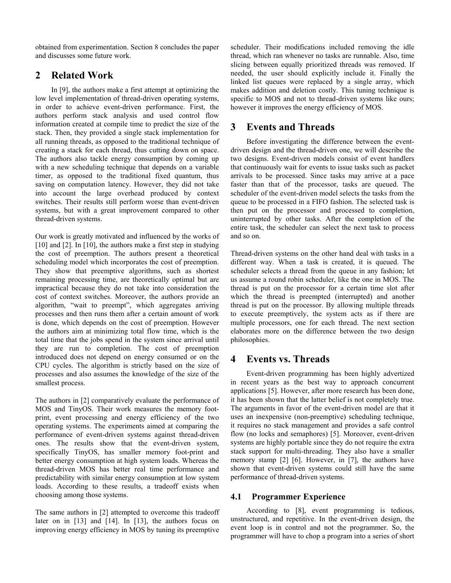obtained from experimentation. Section 8 concludes the paper and discusses some future work.

### **2 Related Work**

In [9], the authors make a first attempt at optimizing the low level implementation of thread-driven operating systems, in order to achieve event-driven performance. First, the authors perform stack analysis and used control flow information created at compile time to predict the size of the stack. Then, they provided a single stack implementation for all running threads, as opposed to the traditional technique of creating a stack for each thread, thus cutting down on space. The authors also tackle energy consumption by coming up with a new scheduling technique that depends on a variable timer, as opposed to the traditional fixed quantum, thus saving on computation latency. However, they did not take into account the large overhead produced by context switches. Their results still perform worse than event-driven systems, but with a great improvement compared to other thread-driven systems.

Our work is greatly motivated and influenced by the works of [10] and [2]. In [10], the authors make a first step in studying the cost of preemption. The authors present a theoretical scheduling model which incorporates the cost of preemption. They show that preemptive algorithms, such as shortest remaining processing time, are theoretically optimal but are impractical because they do not take into consideration the cost of context switches. Moreover, the authors provide an algorithm, "wait to preempt", which aggregates arriving processes and then runs them after a certain amount of work is done, which depends on the cost of preemption. However the authors aim at minimizing total flow time, which is the total time that the jobs spend in the system since arrival until they are run to completion. The cost of preemption introduced does not depend on energy consumed or on the CPU cycles. The algorithm is strictly based on the size of processes and also assumes the knowledge of the size of the smallest process.

The authors in [2] comparatively evaluate the performance of MOS and TinyOS. Their work measures the memory footprint, event processing and energy efficiency of the two operating systems. The experiments aimed at comparing the performance of event-driven systems against thread-driven ones. The results show that the event-driven system, specifically TinyOS, has smaller memory foot-print and better energy consumption at high system loads. Whereas the thread-driven MOS has better real time performance and predictability with similar energy consumption at low system loads. According to these results, a tradeoff exists when choosing among those systems.

The same authors in [2] attempted to overcome this tradeoff later on in [13] and [14]. In [13], the authors focus on improving energy efficiency in MOS by tuning its preemptive

scheduler. Their modifications included removing the idle thread, which ran whenever no tasks are runnable. Also, time slicing between equally prioritized threads was removed. If needed, the user should explicitly include it. Finally the linked list queues were replaced by a single array, which makes addition and deletion costly. This tuning technique is specific to MOS and not to thread-driven systems like ours; however it improves the energy efficiency of MOS.

### **3 Events and Threads**

 Before investigating the difference between the eventdriven design and the thread-driven one, we will describe the two designs. Event-driven models consist of event handlers that continuously wait for events to issue tasks such as packet arrivals to be processed. Since tasks may arrive at a pace faster than that of the processor, tasks are queued. The scheduler of the event-driven model selects the tasks from the queue to be processed in a FIFO fashion. The selected task is then put on the processor and processed to completion, uninterrupted by other tasks. After the completion of the entire task, the scheduler can select the next task to process and so on.

Thread-driven systems on the other hand deal with tasks in a different way. When a task is created, it is queued. The scheduler selects a thread from the queue in any fashion; let us assume a round robin scheduler, like the one in MOS. The thread is put on the processor for a certain time slot after which the thread is preempted (interrupted) and another thread is put on the processor. By allowing multiple threads to execute preemptively, the system acts as if there are multiple processors, one for each thread. The next section elaborates more on the difference between the two design philosophies.

### **4 Events vs. Threads**

 Event-driven programming has been highly advertized in recent years as the best way to approach concurrent applications [5]. However, after more research has been done, it has been shown that the latter belief is not completely true. The arguments in favor of the event-driven model are that it uses an inexpensive (non-preemptive) scheduling technique, it requires no stack management and provides a safe control flow (no locks and semaphores) [5]. Moreover, event-driven systems are highly portable since they do not require the extra stack support for multi-threading. They also have a smaller memory stamp [2] [6]. However, in [7], the authors have shown that event-driven systems could still have the same performance of thread-driven systems.

#### **4.1 Programmer Experience**

 According to [8], event programming is tedious, unstructured, and repetitive. In the event-driven design, the event loop is in control and not the programmer. So, the programmer will have to chop a program into a series of short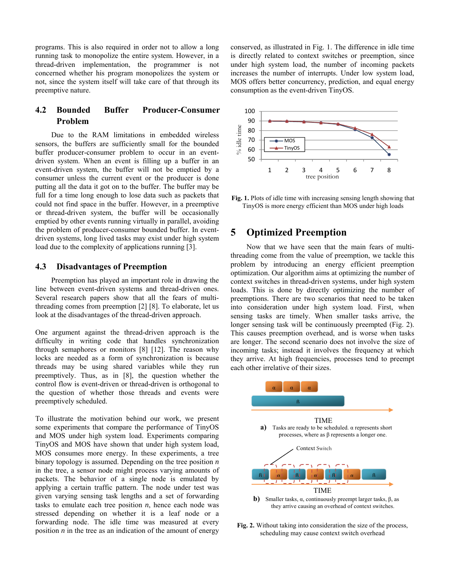programs. This is also required in order not to allow a long running task to monopolize the entire system. However, in a thread-driven implementation, the programmer is not concerned whether his program monopolizes the system or not, since the system itself will take care of that through its preemptive nature.

### **4.2 Bounded Buffer Producer-Consumer Problem**

 Due to the RAM limitations in embedded wireless sensors, the buffers are sufficiently small for the bounded buffer producer-consumer problem to occur in an eventdriven system. When an event is filling up a buffer in an event-driven system, the buffer will not be emptied by a consumer unless the current event or the producer is done putting all the data it got on to the buffer. The buffer may be full for a time long enough to lose data such as packets that could not find space in the buffer. However, in a preemptive or thread-driven system, the buffer will be occasionally emptied by other events running virtually in parallel, avoiding the problem of producer-consumer bounded buffer. In eventdriven systems, long lived tasks may exist under high system load due to the complexity of applications running [3].

#### **4.3 Disadvantages of Preemption**

 Preemption has played an important role in drawing the line between event-driven systems and thread-driven ones. Several research papers show that all the fears of multithreading comes from preemption [2] [8]. To elaborate, let us look at the disadvantages of the thread-driven approach.

One argument against the thread-driven approach is the difficulty in writing code that handles synchronization through semaphores or monitors [8] [12]. The reason why locks are needed as a form of synchronization is because threads may be using shared variables while they run preemptively. Thus, as in [8], the question whether the control flow is event-driven or thread-driven is orthogonal to the question of whether those threads and events were preemptively scheduled.

To illustrate the motivation behind our work, we present some experiments that compare the performance of TinyOS and MOS under high system load. Experiments comparing TinyOS and MOS have shown that under high system load, MOS consumes more energy. In these experiments, a tree binary topology is assumed. Depending on the tree position *n* in the tree, a sensor node might process varying amounts of packets. The behavior of a single node is emulated by applying a certain traffic pattern. The node under test was given varying sensing task lengths and a set of forwarding tasks to emulate each tree position *n*, hence each node was stressed depending on whether it is a leaf node or a forwarding node. The idle time was measured at every position *n* in the tree as an indication of the amount of energy conserved, as illustrated in Fig. 1. The difference in idle time is directly related to context switches or preemption, since under high system load, the number of incoming packets increases the number of interrupts. Under low system load, MOS offers better concurrency, prediction, and equal energy consumption as the event-driven TinyOS.



**Fig. 1.** Plots of idle time with increasing sensing length showing that TinyOS is more energy efficient than MOS under high loads

### **5 Optimized Preemption**

 Now that we have seen that the main fears of multithreading come from the value of preemption, we tackle this problem by introducing an energy efficient preemption optimization. Our algorithm aims at optimizing the number of context switches in thread-driven systems, under high system loads. This is done by directly optimizing the number of preemptions. There are two scenarios that need to be taken into consideration under high system load. First, when sensing tasks are timely. When smaller tasks arrive, the longer sensing task will be continuously preempted (Fig. 2). This causes preemption overhead, and is worse when tasks are longer. The second scenario does not involve the size of incoming tasks; instead it involves the frequency at which they arrive. At high frequencies, processes tend to preempt each other irrelative of their sizes.



**Fig. 2.** Without taking into consideration the size of the process, scheduling may cause context switch overhead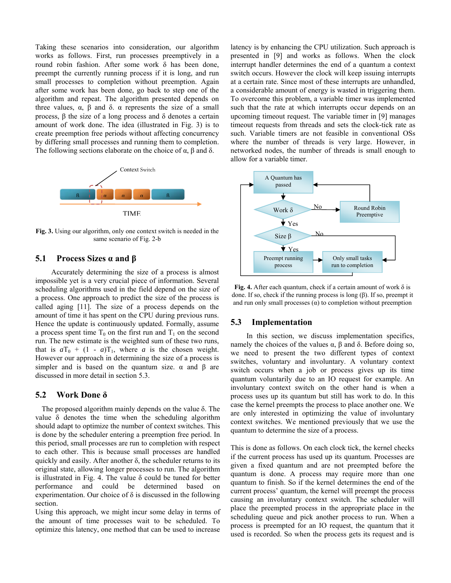Taking these scenarios into consideration, our algorithm works as follows. First, run processes preemptively in a round robin fashion. After some work δ has been done, preempt the currently running process if it is long, and run small processes to completion without preemption. Again after some work has been done, go back to step one of the algorithm and repeat. The algorithm presented depends on three values,  $\alpha$ ,  $\beta$  and  $\delta$ .  $\alpha$  represents the size of a small process, β the size of a long process and δ denotes a certain amount of work done. The idea (illustrated in Fig. 3) is to create preemption free periods without affecting concurrency by differing small processes and running them to completion. The following sections elaborate on the choice of  $\alpha$ ,  $\beta$  and  $\delta$ .



**Fig. 3.** Using our algorithm, only one context switch is needed in the same scenario of Fig. 2-b

#### **5.1 Process Sizes α and β**

 Accurately determining the size of a process is almost impossible yet is a very crucial piece of information. Several scheduling algorithms used in the field depend on the size of a process. One approach to predict the size of the process is called aging [11]. The size of a process depends on the amount of time it has spent on the CPU during previous runs. Hence the update is continuously updated. Formally, assume a process spent time  $T_0$  on the first run and  $T_1$  on the second run. The new estimate is the weighted sum of these two runs, that is  $aT_0 + (1 - a)T_1$ , where *a* is the chosen weight. However our approach in determining the size of a process is simpler and is based on the quantum size.  $\alpha$  and  $\beta$  are discussed in more detail in section 5.3.

#### **5.2 Work Done δ**

 The proposed algorithm mainly depends on the value δ. The value δ denotes the time when the scheduling algorithm should adapt to optimize the number of context switches. This is done by the scheduler entering a preemption free period. In this period, small processes are run to completion with respect to each other. This is because small processes are handled quickly and easily. After another  $\delta$ , the scheduler returns to its original state, allowing longer processes to run. The algorithm is illustrated in Fig. 4. The value δ could be tuned for better performance and could be determined based on experimentation. Our choice of  $\delta$  is discussed in the following section.

Using this approach, we might incur some delay in terms of the amount of time processes wait to be scheduled. To optimize this latency, one method that can be used to increase latency is by enhancing the CPU utilization. Such approach is presented in [9] and works as follows. When the clock interrupt handler determines the end of a quantum a context switch occurs. However the clock will keep issuing interrupts at a certain rate. Since most of these interrupts are unhandled, a considerable amount of energy is wasted in triggering them. To overcome this problem, a variable timer was implemented such that the rate at which interrupts occur depends on an upcoming timeout request. The variable timer in [9] manages timeout requests from threads and sets the clock-tick rate as such. Variable timers are not feasible in conventional OSs where the number of threads is very large. However, in networked nodes, the number of threads is small enough to allow for a variable timer.



**Fig. 4.** After each quantum, check if a certain amount of work δ is done. If so, check if the running process is long (β). If so, preempt it and run only small processes  $(\alpha)$  to completion without preemption

#### **5.3 Implementation**

 In this section, we discuss implementation specifics, namely the choices of the values  $\alpha$ ,  $\beta$  and  $\delta$ . Before doing so, we need to present the two different types of context switches, voluntary and involuntary. A voluntary context switch occurs when a job or process gives up its time quantum voluntarily due to an IO request for example. An involuntary context switch on the other hand is when a process uses up its quantum but still has work to do. In this case the kernel preempts the process to place another one. We are only interested in optimizing the value of involuntary context switches. We mentioned previously that we use the quantum to determine the size of a process.

This is done as follows. On each clock tick, the kernel checks if the current process has used up its quantum. Processes are given a fixed quantum and are not preempted before the quantum is done. A process may require more than one quantum to finish. So if the kernel determines the end of the current process' quantum, the kernel will preempt the process causing an involuntary context switch. The scheduler will place the preempted process in the appropriate place in the scheduling queue and pick another process to run. When a process is preempted for an IO request, the quantum that it used is recorded. So when the process gets its request and is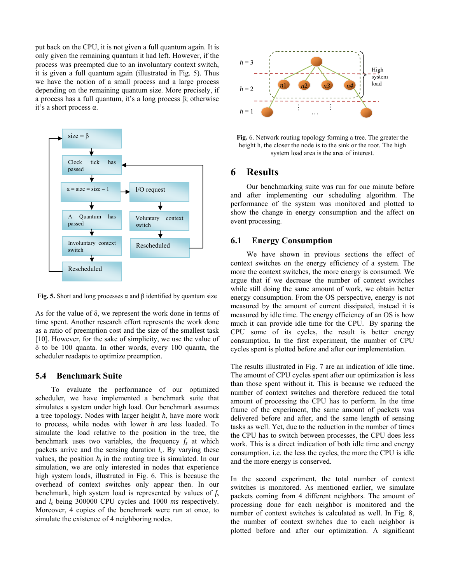put back on the CPU, it is not given a full quantum again. It is only given the remaining quantum it had left. However, if the process was preempted due to an involuntary context switch, it is given a full quantum again (illustrated in Fig. 5). Thus we have the notion of a small process and a large process depending on the remaining quantum size. More precisely, if a process has a full quantum, it's a long process β; otherwise it's a short process α.



**Fig. 5.** Short and long processes  $\alpha$  and  $\beta$  identified by quantum size

As for the value of δ, we represent the work done in terms of time spent. Another research effort represents the work done as a ratio of preemption cost and the size of the smallest task [10]. However, for the sake of simplicity, we use the value of δ to be 100 quanta. In other words, every 100 quanta, the scheduler readapts to optimize preemption.

#### **5.4 Benchmark Suite**

 To evaluate the performance of our optimized scheduler, we have implemented a benchmark suite that simulates a system under high load. Our benchmark assumes a tree topology. Nodes with larger height *h*, have more work to process, while nodes with lower *h* are less loaded. To simulate the load relative to the position in the tree, the benchmark uses two variables, the frequency  $f_s$  at which packets arrive and the sensing duration  $l_s$ . By varying these values, the position  $h_i$  in the routing tree is simulated. In our simulation, we are only interested in nodes that experience high system loads, illustrated in Fig. 6. This is because the overhead of context switches only appear then. In our benchmark, high system load is represented by values of  $f_s$ and *ls* being 300000 CPU cycles and 1000 *ms* respectively. Moreover, 4 copies of the benchmark were run at once, to simulate the existence of 4 neighboring nodes.



**Fig.** 6. Network routing topology forming a tree. The greater the height h, the closer the node is to the sink or the root. The high system load area is the area of interest.

### **6 Results**

 Our benchmarking suite was run for one minute before and after implementing our scheduling algorithm. The performance of the system was monitored and plotted to show the change in energy consumption and the affect on event processing.

#### **6.1 Energy Consumption**

 We have shown in previous sections the effect of context switches on the energy efficiency of a system. The more the context switches, the more energy is consumed. We argue that if we decrease the number of context switches while still doing the same amount of work, we obtain better energy consumption. From the OS perspective, energy is not measured by the amount of current dissipated, instead it is measured by idle time. The energy efficiency of an OS is how much it can provide idle time for the CPU. By sparing the CPU some of its cycles, the result is better energy consumption. In the first experiment, the number of CPU cycles spent is plotted before and after our implementation.

The results illustrated in Fig. 7 are an indication of idle time. The amount of CPU cycles spent after our optimization is less than those spent without it. This is because we reduced the number of context switches and therefore reduced the total amount of processing the CPU has to perform. In the time frame of the experiment, the same amount of packets was delivered before and after, and the same length of sensing tasks as well. Yet, due to the reduction in the number of times the CPU has to switch between processes, the CPU does less work. This is a direct indication of both idle time and energy consumption, i.e. the less the cycles, the more the CPU is idle and the more energy is conserved.

In the second experiment, the total number of context switches is monitored. As mentioned earlier, we simulate packets coming from 4 different neighbors. The amount of processing done for each neighbor is monitored and the number of context switches is calculated as well. In Fig. 8, the number of context switches due to each neighbor is plotted before and after our optimization. A significant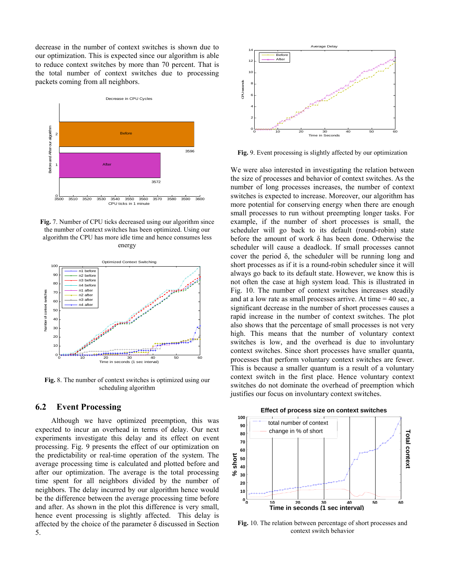decrease in the number of context switches is shown due to our optimization. This is expected since our algorithm is able to reduce context switches by more than 70 percent. That is the total number of context switches due to processing packets coming from all neighbors.



**Fig.** 7. Number of CPU ticks decreased using our algorithm since the number of context switches has been optimized. Using our algorithm the CPU has more idle time and hence consumes less energy



**Fig.** 8. The number of context switches is optimized using our scheduling algorithm

#### **6.2 Event Processing**

 Although we have optimized preemption, this was expected to incur an overhead in terms of delay. Our next experiments investigate this delay and its effect on event processing. Fig. 9 presents the effect of our optimization on the predictability or real-time operation of the system. The average processing time is calculated and plotted before and after our optimization. The average is the total processing time spent for all neighbors divided by the number of neighbors. The delay incurred by our algorithm hence would be the difference between the average processing time before and after. As shown in the plot this difference is very small, hence event processing is slightly affected. This delay is affected by the choice of the parameter  $\delta$  discussed in Section 5.



**Fig.** 9. Event processing is slightly affected by our optimization

We were also interested in investigating the relation between the size of processes and behavior of context switches. As the number of long processes increases, the number of context switches is expected to increase. Moreover, our algorithm has more potential for conserving energy when there are enough small processes to run without preempting longer tasks. For example, if the number of short processes is small, the scheduler will go back to its default (round-robin) state before the amount of work δ has been done. Otherwise the scheduler will cause a deadlock. If small processes cannot cover the period δ, the scheduler will be running long and short processes as if it is a round-robin scheduler since it will always go back to its default state. However, we know this is not often the case at high system load. This is illustrated in Fig. 10. The number of context switches increases steadily and at a low rate as small processes arrive. At time  $= 40$  sec, a significant decrease in the number of short processes causes a rapid increase in the number of context switches. The plot also shows that the percentage of small processes is not very high. This means that the number of voluntary context switches is low, and the overhead is due to involuntary context switches. Since short processes have smaller quanta, processes that perform voluntary context switches are fewer. This is because a smaller quantum is a result of a voluntary context switch in the first place. Hence voluntary context switches do not dominate the overhead of preemption which justifies our focus on involuntary context switches.



**Fig.** 10. The relation between percentage of short processes and context switch behavior